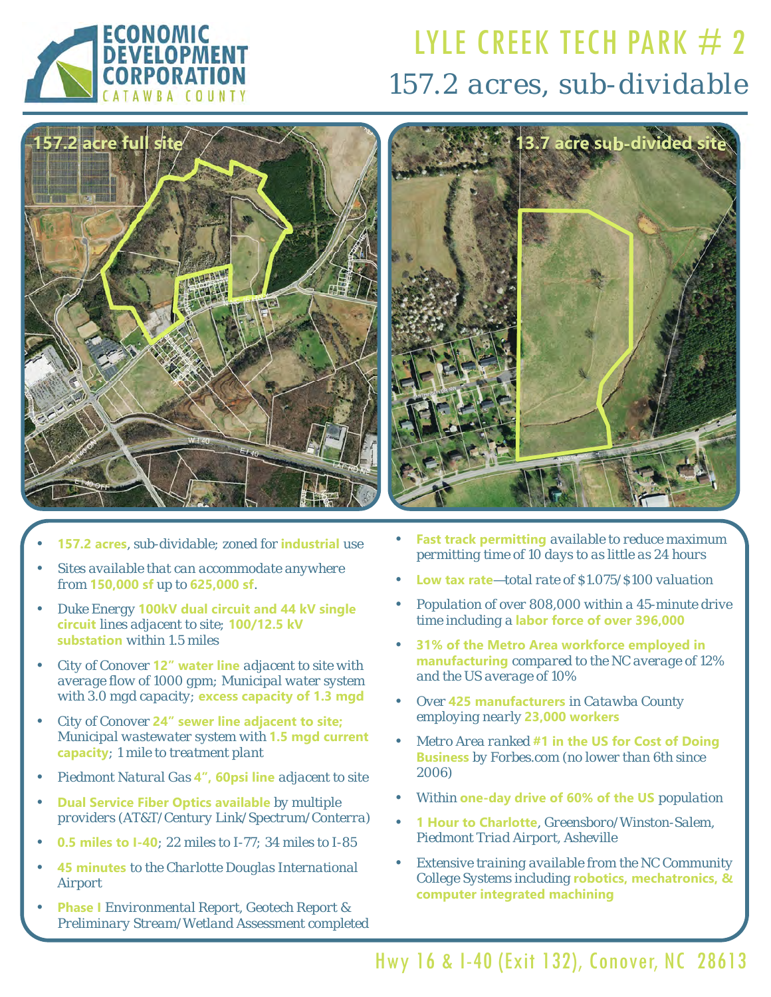

# LYLE CREEK TECH PARK  $#2$ *157.2 acres, sub-dividable*



- **157.2 acres***, sub-dividable; zoned for* **industrial** *use*
- *Sites available that can accommodate anywhere from* **150,000 sf** *up to* **625,000 sf***.*
- *Duke Energy* **100kV dual circuit and 44 kV single circuit** *lines adjacent to site;* **100/12.5 kV substation** *within 1.5 miles*
- *City of Conover* **12" water line** *adjacent to site with average flow of 1000 gpm; Municipal water system with 3.0 mgd capacity;* **excess capacity of 1.3 mgd**
- *City of Conover* **24" sewer line adjacent to site;**  *Municipal wastewater system with* **1.5 mgd current capacity***; 1 mile to treatment plant*
- *Piedmont Natural Gas* **4", 60psi line** *adjacent to site*
- **Dual Service Fiber Optics available** *by multiple providers (AT&T/Century Link/Spectrum/Conterra)*
- **0.5 miles to I-40***; 22 miles to I-77; 34 miles to I-85*
- **45 minutes** *to the Charlotte Douglas International Airport*
- **Phase I** *Environmental Report, Geotech Report & Preliminary Stream/Wetland Assessment completed*



- **Fast track permitting** *available to reduce maximum permitting time of 10 days to as little as 24 hours*
- **Low tax rate***—total rate of \$1.075/\$100 valuation*
- *Population of over 808,000 within a 45-minute drive time including a* **labor force of over 396,000**
- **31% of the Metro Area workforce employed in manufacturing** *compared to the NC average of 12% and the US average of 10%*
- *Over* **425 manufacturers** *in Catawba County employing nearly* **23,000 workers**
- *Metro Area ranked* **#1 in the US for Cost of Doing Business** *by Forbes.com (no lower than 6th since 2006)*
- *Within* **one-day drive of 60% of the US** *population*
- **1 Hour to Charlotte***, Greensboro/Winston-Salem, Piedmont Triad Airport, Asheville*
- *Extensive training available from the NC Community College Systems including* **robotics, mechatronics, & computer integrated machining**

Hwy 16 & I-40 (Exit 132), Conover, NC 28613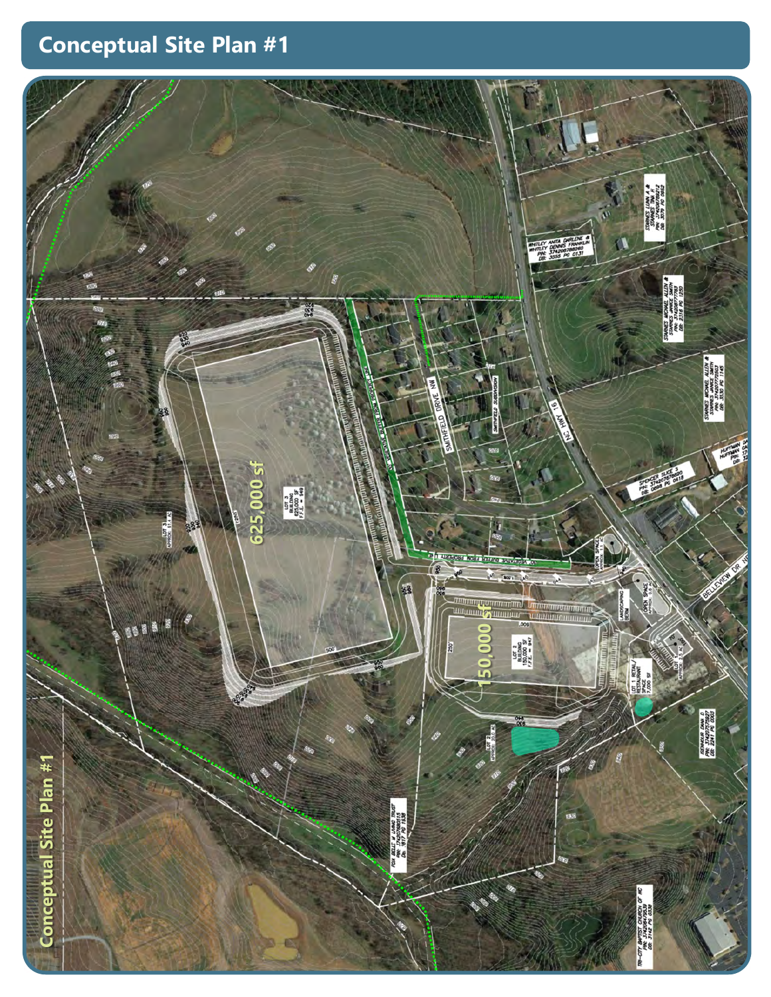## **Conceptual Site Plan #1**

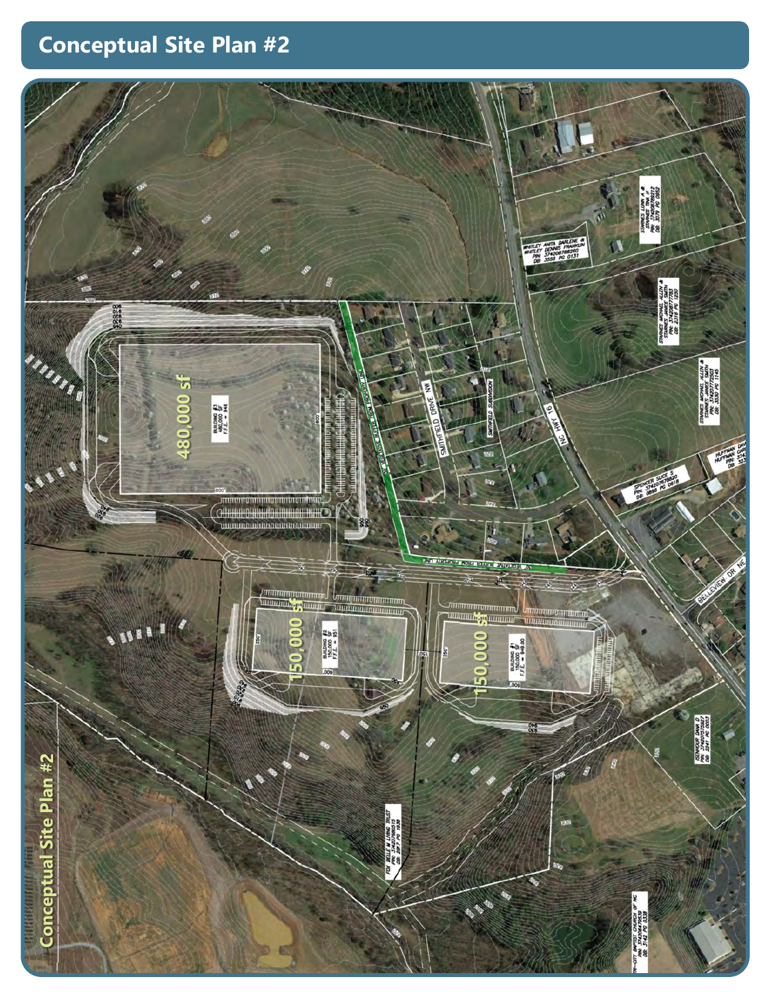## **Conceptual Site Plan #2**